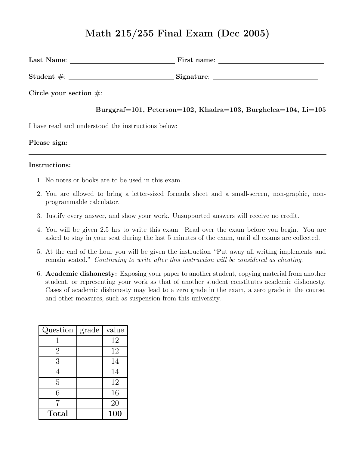# Math 215/255 Final Exam (Dec 2005)

| Last Name:                 | First name: |
|----------------------------|-------------|
|                            | Signature:  |
| Circle your section $\#$ : |             |

#### Burggraf=101, Peterson=102, Khadra=103, Burghelea=104, Li=105

I have read and understood the instructions below:

#### Please sign:

#### Instructions:

- 1. No notes or books are to be used in this exam.
- 2. You are allowed to bring a letter-sized formula sheet and a small-screen, non-graphic, nonprogrammable calculator.
- 3. Justify every answer, and show your work. Unsupported answers will receive no credit.
- 4. You will be given 2.5 hrs to write this exam. Read over the exam before you begin. You are asked to stay in your seat during the last 5 minutes of the exam, until all exams are collected.
- 5. At the end of the hour you will be given the instruction "Put away all writing implements and remain seated." Continuing to write after this instruction will be considered as cheating.
- 6. Academic dishonesty: Exposing your paper to another student, copying material from another student, or representing your work as that of another student constitutes academic dishonesty. Cases of academic dishonesty may lead to a zero grade in the exam, a zero grade in the course, and other measures, such as suspension from this university.

| Question       | grade | value |
|----------------|-------|-------|
| 1              |       | 12    |
| $\overline{2}$ |       | 12    |
| 3              |       | 14    |
| 4              |       | 14    |
| 5              |       | 12    |
| 6              |       | 16    |
|                |       | 20    |
| <b>Total</b>   |       | 100   |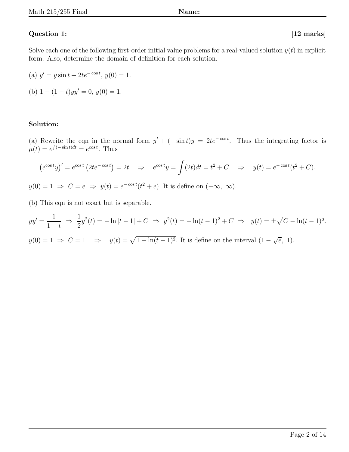### Question 1: [12 marks]

Solve each one of the following first-order initial value problems for a real-valued solution  $y(t)$  in explicit form. Also, determine the domain of definition for each solution.

(a) 
$$
y' = y \sin t + 2te^{-\cos t}
$$
,  $y(0) = 1$ .  
(b)  $1 - (1 - t)yy' = 0$ ,  $y(0) = 1$ .

#### Solution:

(a) Rewrite the eqn in the normal form  $y' + (-\sin t)y = 2te^{-\cos t}$ . Thus the integrating factor is  $\mu(t) = e^{\int (-\sin t)dt} = e^{\cos t}$ . Thus

$$
\left(e^{\cos t}y\right)' = e^{\cos t}\left(2te^{-\cos t}\right) = 2t \quad \Rightarrow \quad e^{\cos t}y = \int (2t)dt = t^2 + C \quad \Rightarrow \quad y(t) = e^{-\cos t}(t^2 + C).
$$

 $y(0) = 1 \Rightarrow C = e \Rightarrow y(t) = e^{-\cos t}(t^2 + e)$ . It is define on  $(-\infty, \infty)$ .

(b) This eqn is not exact but is separable.

$$
yy' = \frac{1}{1-t} \implies \frac{1}{2}y^2(t) = -\ln|t-1| + C \implies y^2(t) = -\ln(t-1)^2 + C \implies y(t) = \pm\sqrt{C - \ln(t-1)^2}.
$$
  

$$
y(0) = 1 \implies C = 1 \implies y(t) = \sqrt{1 - \ln(t-1)^2}.
$$
 It is defined on the interval  $(1 - \sqrt{e}, 1)$ .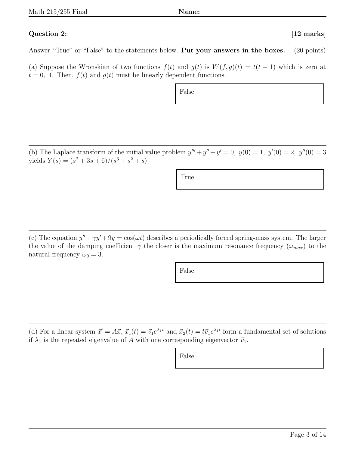## Question 2: [12 marks]

Answer "True" or "False" to the statements below. Put your answers in the boxes. (20 points)

(a) Suppose the Wronskian of two functions  $f(t)$  and  $g(t)$  is  $W(f, g)(t) = t(t-1)$  which is zero at  $t = 0$ , 1. Then,  $f(t)$  and  $g(t)$  must be linearly dependent functions.

False.

(b) The Laplace transform of the initial value problem  $y''' + y'' + y' = 0$ ,  $y(0) = 1$ ,  $y'(0) = 2$ ,  $y''(0) = 3$ yields  $Y(s) = (s^2 + 3s + 6)/(s^3 + s^2 + s).$ 

True.

(c) The equation  $y'' + \gamma y' + 9y = \cos(\omega t)$  describes a periodically forced spring-mass system. The larger the value of the damping coefficient  $\gamma$  the closer is the maximum resonance frequency  $(\omega_{max})$  to the natural frequency  $\omega_0 = 3$ .

False.

(d) For a linear system  $\vec{x}' = A\vec{x}$ ,  $\vec{x}_1(t) = \vec{v}_1e^{\lambda_1 t}$  and  $\vec{x}_2(t) = t\vec{v}_1e^{\lambda_1 t}$  form a fundamental set of solutions if  $\lambda_1$  is the repeated eigenvalue of A with one corresponding eigenvector  $\vec{v}_1$ .

False.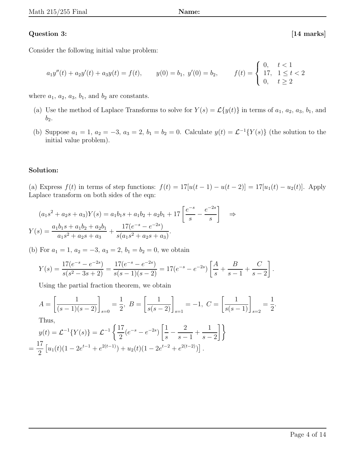### Question 3: [14 marks]

Consider the following initial value problem:

$$
a_1y''(t) + a_2y'(t) + a_3y(t) = f(t), \t y(0) = b_1, \t y'(0) = b_2, \t f(t) = \begin{cases} 0, & t < 1 \\ 17, & 1 \le t < 2 \\ 0, & t \ge 2 \end{cases}
$$

where  $a_1$ ,  $a_2$ ,  $a_3$ ,  $b_1$ , and  $b_2$  are constants.

- (a) Use the method of Laplace Transforms to solve for  $Y(s) = \mathcal{L}{y(t)}$  in terms of  $a_1, a_2, a_3, b_1$ , and  $b_2$ .
- (b) Suppose  $a_1 = 1, a_2 = -3, a_3 = 2, b_1 = b_2 = 0$ . Calculate  $y(t) = \mathcal{L}^{-1}{Y(s)}$  (the solution to the initial value problem).

### Solution:

(a) Express  $f(t)$  in terms of step functions:  $f(t) = 17[u(t-1) - u(t-2)] = 17[u_1(t) - u_2(t)]$ . Apply Laplace transform on both sides of the eqn:

$$
(a_1s^2 + a_2s + a_3)Y(s) = a_1b_1s + a_1b_2 + a_2b_1 + 17\left[\frac{e^{-s}}{s} - \frac{e^{-2s}}{s}\right] \Rightarrow
$$
  

$$
Y(s) = \frac{a_1b_1s + a_1b_2 + a_2b_1}{a_1s^2 + a_2s + a_3} + \frac{17(e^{-s} - e^{-2s})}{s(a_1s^2 + a_2s + a_3)}.
$$

(b) For  $a_1 = 1$ ,  $a_2 = -3$ ,  $a_3 = 2$ ,  $b_1 = b_2 = 0$ , we obtain

$$
Y(s) = \frac{17(e^{-s} - e^{-2s})}{s(s^2 - 3s + 2)} = \frac{17(e^{-s} - e^{-2s})}{s(s - 1)(s - 2)} = 17(e^{-s} - e^{-2s}) \left[ \frac{A}{s} + \frac{B}{s - 1} + \frac{C}{s - 2} \right].
$$

Using the partial fraction theorem, we obtain

$$
A = \left[\frac{1}{(s-1)(s-2)}\right]_{s=0} = \frac{1}{2}, \ B = \left[\frac{1}{s(s-2)}\right]_{s=1} = -1, \ C = \left[\frac{1}{s(s-1)}\right]_{s=2} = \frac{1}{2}.
$$
  
Thus,  

$$
y(t) = \mathcal{L}^{-1}\{Y(s)\} = \mathcal{L}^{-1}\left\{\frac{17}{2}(e^{-s} - e^{-2s})\left[\frac{1}{s} - \frac{2}{s-1} + \frac{1}{s-2}\right]\right\}
$$

$$
= \frac{17}{2}\left[u_1(t)(1 - 2e^{t-1} + e^{2(t-1)}) + u_2(t)(1 - 2e^{t-2} + e^{2(t-2)})\right].
$$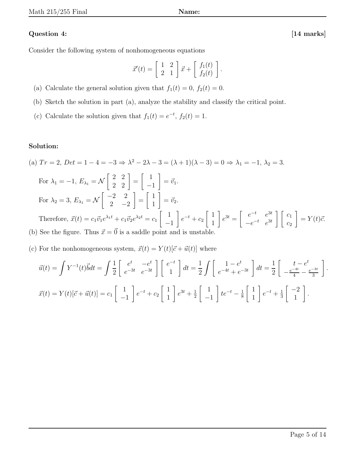# Question 4: [14 marks]

Consider the following system of nonhomogeneous equations

$$
\vec{x}'(t) = \begin{bmatrix} 1 & 2 \\ 2 & 1 \end{bmatrix} \vec{x} + \begin{bmatrix} f_1(t) \\ f_2(t) \end{bmatrix}.
$$

- (a) Calculate the general solution given that  $f_1(t) = 0$ ,  $f_2(t) = 0$ .
- (b) Sketch the solution in part (a), analyze the stability and classify the critical point.
- (c) Calculate the solution given that  $f_1(t) = e^{-t}$ ,  $f_2(t) = 1$ .

# Solution:

(a) 
$$
Tr = 2
$$
,  $Det = 1 - 4 = -3 \Rightarrow \lambda^2 - 2\lambda - 3 = (\lambda + 1)(\lambda - 3) = 0 \Rightarrow \lambda_1 = -1$ ,  $\lambda_2 = 3$ .  
\nFor  $\lambda_1 = -1$ ,  $E_{\lambda_1} = \mathcal{N}\begin{bmatrix} 2 & 2 \ 2 & 2 \end{bmatrix} = \begin{bmatrix} 1 \ -1 \end{bmatrix} = \vec{v_1}$ .  
\nFor  $\lambda_2 = 3$ ,  $E_{\lambda_1} = \mathcal{N}\begin{bmatrix} -2 & 2 \ 2 & -2 \end{bmatrix} = \begin{bmatrix} 1 \ 1 \end{bmatrix} = \vec{v_2}$ .  
\nTherefore,  $\vec{x}(t) = c_1 \vec{v_1} e^{\lambda_1 t} + c_1 \vec{v_2} e^{\lambda_2 t} = c_1 \begin{bmatrix} 1 \ -1 \end{bmatrix} e^{-t} + c_2 \begin{bmatrix} 1 \ 1 \end{bmatrix} e^{3t} = \begin{bmatrix} e^{-t} & e^{3t} \ -e^{-t} & e^{3t} \end{bmatrix} \begin{bmatrix} c_1 \ c_2 \end{bmatrix} = Y(t)\vec{c}$ .  
\n(b) See the figure. Thus  $\vec{x} = \vec{0}$  is a saddle point and is unstable.

(c) For the nonhomogeneous system,  $\vec{x}(t) = Y(t)[\vec{c} + \vec{u}(t)]$  where

$$
\vec{u}(t) = \int Y^{-1}(t)\vec{b}dt = \int \frac{1}{2} \begin{bmatrix} e^t & -e^t \\ e^{-3t} & e^{-3t} \end{bmatrix} \begin{bmatrix} e^{-t} \\ 1 \end{bmatrix} dt = \frac{1}{2} \int \begin{bmatrix} 1 - e^t \\ e^{-4t} + e^{-3t} \end{bmatrix} dt = \frac{1}{2} \begin{bmatrix} t - e^t \\ -\frac{e^{-4t}}{4} - \frac{e^{-3t}}{3} \end{bmatrix}
$$

$$
\vec{x}(t) = Y(t)[\vec{c} + \vec{u}(t)] = c_1 \begin{bmatrix} 1 \\ -1 \end{bmatrix} e^{-t} + c_2 \begin{bmatrix} 1 \\ 1 \end{bmatrix} e^{3t} + \frac{1}{2} \begin{bmatrix} 1 \\ -1 \end{bmatrix} t e^{-t} - \frac{1}{8} \begin{bmatrix} 1 \\ 1 \end{bmatrix} e^{-t} + \frac{1}{3} \begin{bmatrix} -2 \\ 1 \end{bmatrix}.
$$

.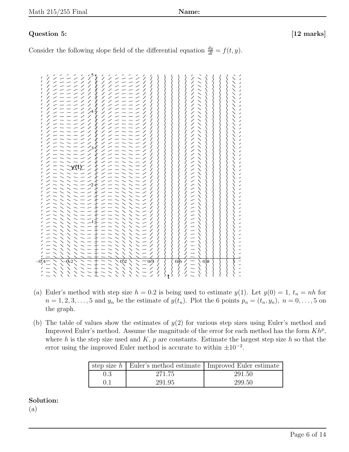# Question 5: [12 marks]

Consider the following slope field of the differential equation  $\frac{dy}{dt} = f(t, y)$ .

| $\overline{\mathscr{D}}$<br>$\frac{1}{\sqrt{2}}$<br>$\frac{7}{7}$<br>$\gamma$<br>$\frac{1}{2}$<br>$\frac{7}{1}$<br>$\frac{7}{1}$<br>$\frac{7}{7}$<br>$\frac{7}{1}$<br>$\frac{7}{1}$<br>Γ<br>$\prime$ - - $\prime$<br>╱<br>$\overline{\phantom{a}}$<br>╱<br>$\overline{\phantom{a}}$<br>$\angle$<br>╱<br>$\epsilon \sim 1$<br>╱<br>Ϊ<br>T<br>Γ<br>╱<br>╱<br>╱<br>'/<br>/<br>Γ<br>∕<br>Γ<br>Ϊ<br>╱<br>- - /<br>╱<br>╱<br>╱<br>Γ<br>╱<br>Γ<br>$\overline{\phantom{a}}$<br>╱<br>╱<br>╱<br>∕<br>╱<br>╱<br>Γ<br>Γ<br>╱<br>T<br>Γ<br>╱<br>╱<br>╱<br>╱<br>╱<br>╱<br>╱<br>╱<br>╱<br>/<br>Γ<br>╱<br>∕<br>∕<br>╱<br>Γ<br>╱<br>T<br>╱<br>╱<br>$\overline{\phantom{a}}$ $\overline{\phantom{a}}$<br>╱<br>Τ<br>╱<br>╱<br>╱<br>╱<br>T<br>╱<br>╱<br>╱<br>$\frac{1}{2}$<br>╱<br>╱<br>$\mathcal{L}_{2}$<br>T<br>╱<br> <br> <br> <br>7.<br>╱<br>╱<br>Ī.<br>╱<br>7<br> <br> <br> <br>╱<br>T<br>y(t)<br>╱<br>╱<br>T<br>L<br>7<br>ノノノノノノノノノノノノノノノ<br>╱<br>╱<br>I<br>I<br>╱<br>╱<br>T<br>Ī.<br>1,<br>$\mathcal{L}_{2}$<br>Τ<br>Ī.<br>I<br>I.<br>γ<br>T<br> <br> <br>I<br>I.<br>Γ<br>Γ<br>L<br>Γ<br>$\frac{1}{2}$<br>$\frac{1}{2}$ |
|------------------------------------------------------------------------------------------------------------------------------------------------------------------------------------------------------------------------------------------------------------------------------------------------------------------------------------------------------------------------------------------------------------------------------------------------------------------------------------------------------------------------------------------------------------------------------------------------------------------------------------------------------------------------------------------------------------------------------------------------------------------------------------------------------------------------------------------------------------------------------------------------------------------------------------------------------------------------------------------------------------------------------------------------------------------------------------------------------------|
|                                                                                                                                                                                                                                                                                                                                                                                                                                                                                                                                                                                                                                                                                                                                                                                                                                                                                                                                                                                                                                                                                                            |
|                                                                                                                                                                                                                                                                                                                                                                                                                                                                                                                                                                                                                                                                                                                                                                                                                                                                                                                                                                                                                                                                                                            |
|                                                                                                                                                                                                                                                                                                                                                                                                                                                                                                                                                                                                                                                                                                                                                                                                                                                                                                                                                                                                                                                                                                            |
|                                                                                                                                                                                                                                                                                                                                                                                                                                                                                                                                                                                                                                                                                                                                                                                                                                                                                                                                                                                                                                                                                                            |
|                                                                                                                                                                                                                                                                                                                                                                                                                                                                                                                                                                                                                                                                                                                                                                                                                                                                                                                                                                                                                                                                                                            |
|                                                                                                                                                                                                                                                                                                                                                                                                                                                                                                                                                                                                                                                                                                                                                                                                                                                                                                                                                                                                                                                                                                            |
|                                                                                                                                                                                                                                                                                                                                                                                                                                                                                                                                                                                                                                                                                                                                                                                                                                                                                                                                                                                                                                                                                                            |
|                                                                                                                                                                                                                                                                                                                                                                                                                                                                                                                                                                                                                                                                                                                                                                                                                                                                                                                                                                                                                                                                                                            |
|                                                                                                                                                                                                                                                                                                                                                                                                                                                                                                                                                                                                                                                                                                                                                                                                                                                                                                                                                                                                                                                                                                            |
|                                                                                                                                                                                                                                                                                                                                                                                                                                                                                                                                                                                                                                                                                                                                                                                                                                                                                                                                                                                                                                                                                                            |
|                                                                                                                                                                                                                                                                                                                                                                                                                                                                                                                                                                                                                                                                                                                                                                                                                                                                                                                                                                                                                                                                                                            |
|                                                                                                                                                                                                                                                                                                                                                                                                                                                                                                                                                                                                                                                                                                                                                                                                                                                                                                                                                                                                                                                                                                            |
|                                                                                                                                                                                                                                                                                                                                                                                                                                                                                                                                                                                                                                                                                                                                                                                                                                                                                                                                                                                                                                                                                                            |
|                                                                                                                                                                                                                                                                                                                                                                                                                                                                                                                                                                                                                                                                                                                                                                                                                                                                                                                                                                                                                                                                                                            |
|                                                                                                                                                                                                                                                                                                                                                                                                                                                                                                                                                                                                                                                                                                                                                                                                                                                                                                                                                                                                                                                                                                            |
|                                                                                                                                                                                                                                                                                                                                                                                                                                                                                                                                                                                                                                                                                                                                                                                                                                                                                                                                                                                                                                                                                                            |
|                                                                                                                                                                                                                                                                                                                                                                                                                                                                                                                                                                                                                                                                                                                                                                                                                                                                                                                                                                                                                                                                                                            |
| '/<br>/<br>Γ<br>Γ<br>-12<br>∕<br>Ī.                                                                                                                                                                                                                                                                                                                                                                                                                                                                                                                                                                                                                                                                                                                                                                                                                                                                                                                                                                                                                                                                        |
| $\frac{7}{7}$<br>$\frac{1}{2}$<br>$\frac{7}{L}$<br>∕<br>∕                                                                                                                                                                                                                                                                                                                                                                                                                                                                                                                                                                                                                                                                                                                                                                                                                                                                                                                                                                                                                                                  |
| 7.<br> <br> <br> <br>$\frac{7}{2}$                                                                                                                                                                                                                                                                                                                                                                                                                                                                                                                                                                                                                                                                                                                                                                                                                                                                                                                                                                                                                                                                         |
| $\frac{1}{1}$<br>$\frac{7}{2}$<br>Τ                                                                                                                                                                                                                                                                                                                                                                                                                                                                                                                                                                                                                                                                                                                                                                                                                                                                                                                                                                                                                                                                        |
|                                                                                                                                                                                                                                                                                                                                                                                                                                                                                                                                                                                                                                                                                                                                                                                                                                                                                                                                                                                                                                                                                                            |
| $\overline{02}$<br>$0/6$ /<br>0.2<br>0 <sup>8</sup><br>$\alpha$ 4                                                                                                                                                                                                                                                                                                                                                                                                                                                                                                                                                                                                                                                                                                                                                                                                                                                                                                                                                                                                                                          |
| <br>$\frac{7}{1}$<br>l<br>!<br>╱<br>$\frac{7}{7}$<br>Γ<br>$\frac{2}{\ell}$<br>$\backslash$                                                                                                                                                                                                                                                                                                                                                                                                                                                                                                                                                                                                                                                                                                                                                                                                                                                                                                                                                                                                                 |

- (a) Euler's method with step size  $h = 0.2$  is being used to estimate  $y(1)$ . Let  $y(0) = 1$ ,  $t_n = nh$  for  $n = 1, 2, 3, \ldots, 5$  and  $y_n$  be the estimate of  $y(t_n)$ . Plot the 6 points  $p_n = (t_n, y_n)$ ,  $n = 0, \ldots, 5$  on the graph.
- (b) The table of values show the estimates of  $y(2)$  for various step sizes using Euler's method and Improved Euler's method. Assume the magnitude of the error for each method has the form  $Kh^p$ , where h is the step size used and K, p are constants. Estimate the largest step size h so that the error using the improved Euler method is accurate to within  $\pm 10^{-2}$ .

|           | step size $h$   Euler's method estimate   Improved Euler estimate |        |
|-----------|-------------------------------------------------------------------|--------|
| $\rm 0.3$ | 271.75                                                            | 291.50 |
| $( )_{1}$ | 291.95                                                            | 299.50 |

# Solution:

(a)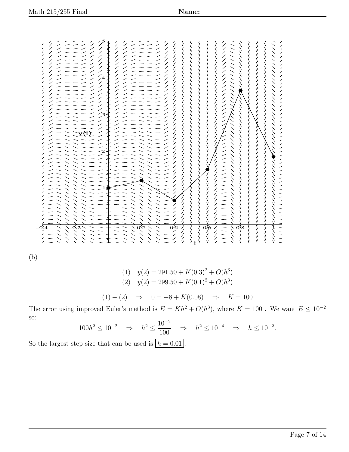1 2 3 4 5 y(t) –0.4 –0.2 0.2 0.4 0.6 0.8 1 t

(b)

(1) 
$$
y(2) = 291.50 + K(0.3)^2 + O(h^3)
$$
  
(2)  $y(2) = 299.50 + K(0.1)^2 + O(h^3)$ 

$$
(1) - (2) \Rightarrow 0 = -8 + K(0.08) \Rightarrow K = 100
$$

The error using improved Euler's method is  $E = Kh^2 + O(h^3)$ , where  $K = 100$ . We want  $E \le 10^{-2}$ so:  $-2$ 

$$
100h^2 \le 10^{-2} \quad \Rightarrow \quad h^2 \le \frac{10^{-2}}{100} \quad \Rightarrow \quad h^2 \le 10^{-4} \quad \Rightarrow \quad h \le 10^{-2}.
$$

So the largest step size that can be used is  $h = 0.01$ .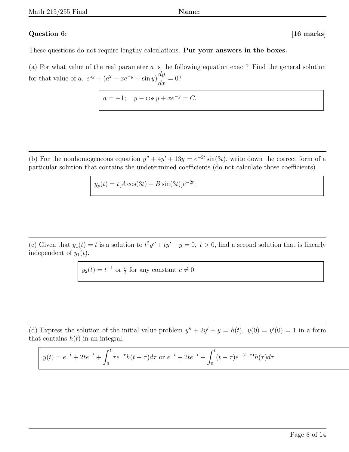# Question 6: [16 marks]

These questions do not require lengthy calculations. Put your answers in the boxes.

(a) For what value of the real parameter a is the following equation exact? Find the general solution for that value of a.  $e^{ay} + (a^2 - xe^{-y} + \sin y) \frac{dy}{dx}$  $\frac{dy}{dx} = 0?$ 

 $a = -1; \quad y - \cos y + xe^{-y} = C.$ 

(b) For the nonhomogeneous equation  $y'' + 4y' + 13y = e^{-2t} \sin(3t)$ , write down the correct form of a particular solution that contains the undetermined coefficients (do not calculate those coefficients).

$$
y_p(t) = t[A\cos(3t) + B\sin(3t)]e^{-2t}.
$$

(c) Given that  $y_1(t) = t$  is a solution to  $t^2y'' + ty' - y = 0$ ,  $t > 0$ , find a second solution that is linearly independent of  $y_1(t)$ .

 $y_2(t) = t^{-1}$  or  $\frac{c}{t}$  for any constant  $c \neq 0$ .

(d) Express the solution of the initial value problem  $y'' + 2y' + y = h(t)$ ,  $y(0) = y'(0) = 1$  in a form that contains  $h(t)$  in an integral.

$$
y(t) = e^{-t} + 2te^{-t} + \int_0^t \tau e^{-\tau} h(t - \tau) d\tau \text{ or } e^{-t} + 2te^{-t} + \int_0^t (t - \tau)e^{-(t - \tau)} h(\tau) d\tau
$$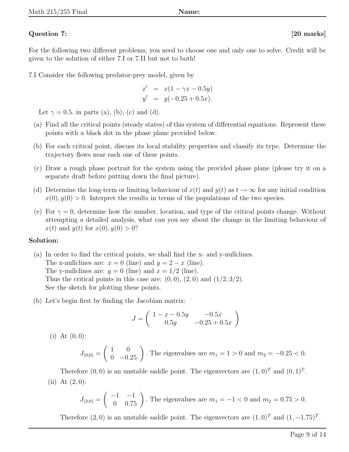# Question 7: [20 marks]

For the following two different problems, you need to choose one and only one to solve. Credit will be given to the solution of either 7.I or 7.II but not to both!

7.I Consider the following predator-prey model, given by

$$
x' = x(1 - \gamma x - 0.5y)
$$
  
\n
$$
y' = y(-0.25 + 0.5x).
$$

Let  $\gamma = 0.5$ . in parts (a), (b), (c) and (d).

- (a) Find all the critical points (steady states) of this system of differential equations. Represent these points with a black dot in the phase plane provided below.
- (b) For each critical point, discuss its local stability properties and classify its type. Determine the trajectory flows near each one of these points.
- (c) Draw a rough phase portrait for the system using the provided phase plane (please try it on a separate draft before putting down the final picture).
- (d) Determine the long-term or limiting behaviour of  $x(t)$  and  $y(t)$  as  $t \to \infty$  for any initial condition  $x(0), y(0) > 0$ . Interpret the results in terms of the populations of the two species.
- (e) For  $\gamma = 0$ , determine how the number, location, and type of the critical points change. Without attempting a detailed analysis, what can you say about the change in the limiting behaviour of  $x(t)$  and  $y(t)$  for  $x(0), y(0) > 0$ ?

# Solution:

- (a) In order to find the critical points, we shall find the x- and y-nullclines. The x-nullclines are:  $x = 0$  (line) and  $y = 2 - x$  (line). The y-nullclines are:  $y = 0$  (line) and  $x = 1/2$  (line). Thus the critical points in this case are:  $(0,0)$ ,  $(2,0)$  and  $(1/2,3/2)$ . See the sketch for plotting these points.
- (b) Let's begin first by finding the Jacobian matrix:

$$
J = \begin{pmatrix} 1 - x - 0.5y & -0.5x \\ 0.5y & -0.25 + 0.5x \end{pmatrix}
$$

(i) At  $(0, 0)$ :

$$
J_{(0,0)} = \begin{pmatrix} 1 & 0 \\ 0 & -0.25 \end{pmatrix}
$$
. The eigenvalues are  $m_1 = 1 > 0$  and  $m_2 = -0.25 < 0$ .

Therefore  $(0,0)$  is an unstable saddle point. The eigenvectors are  $(1,0)^T$  and  $(0,1)^T$ . (ii) At  $(2, 0)$ :

$$
J_{(2,0)} = \begin{pmatrix} -1 & -1 \\ 0 & 0.75 \end{pmatrix}
$$
. The eigenvalues are  $m_1 = -1 < 0$  and  $m_2 = 0.75 > 0$ .

Therefore  $(2,0)$  is an unstable saddle point. The eigenvectors are  $(1,0)^T$  and  $(1,-1.75)^T$ .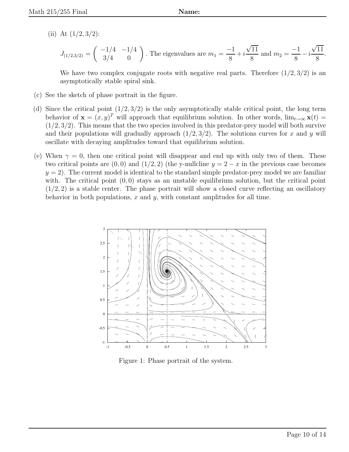(ii) At  $(1/2, 3/2)$ :

$$
J_{(1/2,3/2)} = \begin{pmatrix} -1/4 & -1/4 \ 3/4 & 0 \end{pmatrix}
$$
. The eigenvalues are  $m_1 = \frac{-1}{8} + i\frac{\sqrt{11}}{8}$  and  $m_2 = \frac{-1}{8} - i\frac{\sqrt{11}}{8}$ .

We have two complex conjugate roots with negative real parts. Therefore  $(1/2, 3/2)$  is an asymptotically stable spiral sink.

- (c) See the sketch of phase portrait in the figure.
- (d) Since the critical point  $(1/2, 3/2)$  is the only asymptotically stable critical point, the long term behavior of  $\mathbf{x} = (x, y)^T$  will approach that equilibrium solution. In other words,  $\lim_{t\to\infty} \mathbf{x}(t) =$  $(1/2, 3/2)$ . This means that the two species involved in this predator-prey model will both survive and their populations will gradually approach  $(1/2, 3/2)$ . The solutions curves for x and y will oscillate with decaying amplitudes toward that equilibrium solution.
- (e) When  $\gamma = 0$ , then one critical point will disappear and end up with only two of them. These two critical points are  $(0, 0)$  and  $(1/2, 2)$  (the y-nullcline  $y = 2 - x$  in the previous case becomes  $y = 2$ . The current model is identical to the standard simple predator-prey model we are familiar with. The critical point  $(0,0)$  stays as an unstable equilibrium solution, but the critical point  $(1/2, 2)$  is a stable center. The phase portrait will show a closed curve reflecting an oscillatory behavior in both populations,  $x$  and  $y$ , with constant amplitudes for all time.



Figure 1: Phase portrait of the system.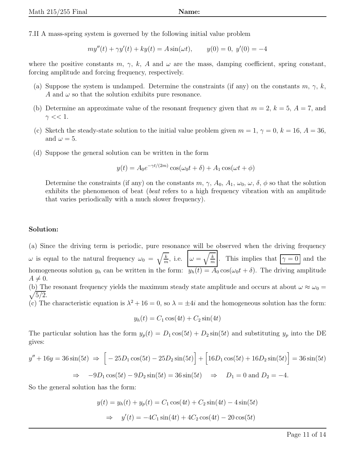7.II A mass-spring system is governed by the following initial value problem

$$
my''(t) + \gamma y'(t) + ky(t) = A \sin(\omega t), \qquad y(0) = 0, \ y'(0) = -4
$$

where the positive constants m,  $\gamma$ , k, A and  $\omega$  are the mass, damping coefficient, spring constant, forcing amplitude and forcing frequency, respectively.

- (a) Suppose the system is undamped. Determine the constraints (if any) on the constants  $m, \gamma, k$ , A and  $\omega$  so that the solution exhibits pure resonance.
- (b) Determine an approximate value of the resonant frequency given that  $m = 2$ ,  $k = 5$ ,  $A = 7$ , and  $\gamma \ll 1$ .
- (c) Sketch the steady-state solution to the initial value problem given  $m = 1, \gamma = 0, k = 16, A = 36,$ and  $\omega = 5$ .
- (d) Suppose the general solution can be written in the form

$$
y(t) = A_0 e^{-\gamma t/(2m)} \cos(\omega_0 t + \delta) + A_1 \cos(\omega t + \phi)
$$

Determine the constraints (if any) on the constants  $m, \gamma, A_0, A_1, \omega_0, \omega, \delta, \phi$  so that the solution exhibits the phenomenon of beat (beat refers to a high frequency vibration with an amplitude that varies periodically with a much slower frequency).

### Solution:

(a) Since the driving term is periodic, pure resonance will be observed when the driving frequency  $\omega$  is equal to the natural frequency  $\omega_0 = \sqrt{\frac{k}{m}}$  $\frac{\overline{k}}{m}$ , i.e.  $\omega = \sqrt{\frac{k}{m}}$  $\frac{k}{m}$ . This implies that  $\gamma = 0$  and the homogeneous solution  $y_h$  can be written in the form:  $y_h(t) = A_0 \cos(\omega_0 t + \delta)$ . The driving amplitude  $A \neq 0$ .

(b) The resonant frequency yields the maximum steady state amplitude and occurs at about  $\omega \approx \omega_0 =$  $\sqrt{5/2}$ .

(c) The characteristic equation is  $\lambda^2 + 16 = 0$ , so  $\lambda = \pm 4i$  and the homogeneous solution has the form:

$$
y_h(t) = C_1 \cos(4t) + C_2 \sin(4t)
$$

The particular solution has the form  $y_p(t) = D_1 \cos(5t) + D_2 \sin(5t)$  and substituting  $y_p$  into the DE gives:

$$
y'' + 16y = 36\sin(5t) \implies \left[ -25D_1\cos(5t) - 25D_2\sin(5t) \right] + \left[ 16D_1\cos(5t) + 16D_2\sin(5t) \right] = 36\sin(5t)
$$
  

$$
\implies -9D_1\cos(5t) - 9D_2\sin(5t) = 36\sin(5t) \implies D_1 = 0 \text{ and } D_2 = -4.
$$

So the general solution has the form:

$$
y(t) = y_h(t) + y_p(t) = C_1 \cos(4t) + C_2 \sin(4t) - 4 \sin(5t)
$$
  
\n
$$
\Rightarrow y'(t) = -4C_1 \sin(4t) + 4C_2 \cos(4t) - 20 \cos(5t)
$$